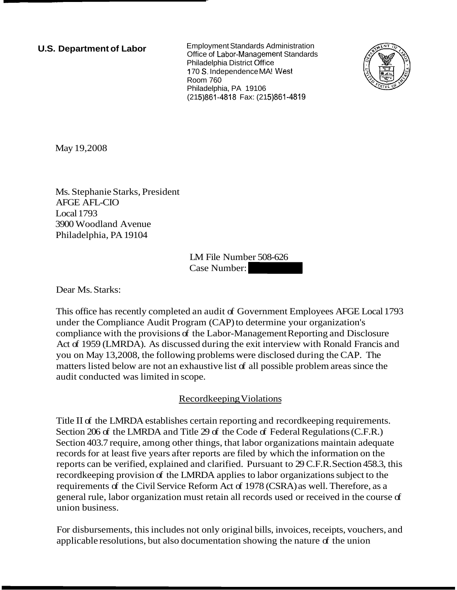**U.S. Department of Labor** Employment Standards Administration Office of Labor-Management Standards Philadelphia District office ? 70 *S.* Independence MA! **West**  Room 760 Philadelphia, PA 19106 (215)861-4818 Fax: (215)861-4819



May 19,2008

Ms. Stephanie Starks, President AFGE AFL-CIO Local 1793 3900 Woodland Avenue Philadelphia, PA 19104

LM File Number 508-626  $LM$  File Number 508-626<br>Case Number:

Dear Ms. Starks:

This office has recently completed an audit of Government Employees AFGE Local 1793 under the Compliance Audit Program (CAP) to determine your organization's compliance with the provisions of the Labor-Management Reporting and Disclosure Act of 1959 (LMRDA). As discussed during the exit interview with Ronald Francis and you on May 13,2008, the following problems were disclosed during the CAP. The matters listed below are not an exhaustive list of all possible problem areas since the audit conducted was limited in scope.

# Recordkeeping Violations

Title I1 of the LMRDA establishes certain reporting and recordkeeping requirements. Section 206 of the LMRDA and Title 29 of the Code of Federal Regulations (C.F.R.) Section 403.7 require, among other things, that labor organizations maintain adequate records for at least five years after reports are filed by which the information on the reports can be verified, explained and clarified. Pursuant to 29 C.F.R. Section 458.3, this recordkeeping provision of the LMRDA applies to labor organizations subject to the requirements of the Civil Service Reform Act of 1978 (CSRA) as well. Therefore, as a general rule, labor organization must retain all records used or received in the course of union business.

For disbursements, this includes not only original bills, invoices, receipts, vouchers, and applicable resolutions, but also documentation showing the nature  $\sigma$  the union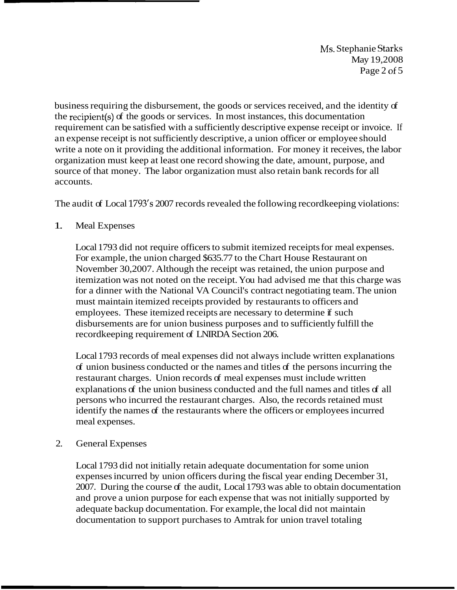Ms. Stephanie Starks May 19,2008 Page 2 of 5

business requiring the disbursement, the goods or services received, and the identity of the recipient(s) of the goods or services. In most instances, this documentation requirement can be satisfied with a sufficiently descriptive expense receipt or invoice. If an expense receipt is not sufficiently descriptive, a union officer or employee should write a note on it providing the additional information. For money it receives, the labor organization must keep at least one record showing the date, amount, purpose, and source of that money. The labor organization must also retain bank records for all accounts.

The audit of Local 1793's 2007 records revealed the following recordkeeping violations:

# 1. Meal Expenses

Local 1793 did not require officers to submit itemized receipts for meal expenses. For example, the union charged \$635.77 to the Chart House Restaurant on November 30,2007. Although the receipt was retained, the union purpose and itemization was not noted on the receipt. You had advised me that this charge was for a dinner with the National VA Council's contract negotiating team. The union must maintain itemized receipts provided by restaurants to officers and employees. These itemized receipts are necessary to determine if such disbursements are for union business purposes and to sufficiently fulfill the recordkeeping requirement of LNIRDA Section 206.

Local 1793 records of meal expenses did not always include written explanations of union business conducted or the names and titles of the persons incurring the restaurant charges. Union records of meal expenses must include written explanations of the union business conducted and the full names and titles of all persons who incurred the restaurant charges. Also, the records retained must identify the names of the restaurants where the officers or employees incurred meal expenses.

## 2. General Expenses

Local 1793 did not initially retain adequate documentation for some union expenses incurred by union officers during the fiscal year ending December 31, 2007. During the course of the audit, Local 1793 was able to obtain documentation and prove a union purpose for each expense that was not initially supported by adequate backup documentation. For example, the local did not maintain documentation to support purchases to Amtrak for union travel totaling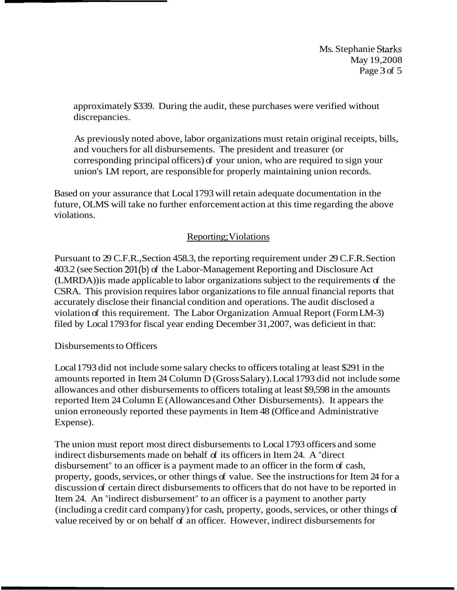Ms. Stephanie Starks May 19,2008 Page 3 of 5

approximately \$339. During the audit, these purchases were verified without discrepancies.

As previously noted above, labor organizations must retain original receipts, bills, and vouchers for all disbursements. The president and treasurer (or corresponding principal officers) of your union, who are required to sign your union's LM report, are responsible for properly maintaining union records.

Based on your assurance that Local 1793 will retain adequate documentation in the future, OLMS will take no further enforcement action at this time regarding the above violations.

# Reporting; Violations

Pursuant to 29 C.F.R., Section 458.3, the reporting requirement under 29 C.F.R. Section 403.2 (see Section 201(b) of the Labor-Management Reporting and Disclosure Act (LMRDA)) is made applicable to labor organizations subject to the requirements of the CSRA. This provision requires labor organizations to file annual financial reports that accurately disclose their financial condition and operations. The audit disclosed a violation of this requirement. The Labor Organization Annual Report (Form LM-3) filed by Local 1793 for fiscal year ending December 31,2007, was deficient in that:

## Disbursements to Officers

Local 1793 did not include some salary checks to officers totaling at least \$291 in the amounts reported in Item 24 Column D (Gross Salary). Local 1793 did not include some allowances and other disbursements to officers totaling at least \$9,598 in the amounts reported Item 24 Column E (Allowances and Other Disbursements). It appears the union erroneously reported these payments in Item 48 (Office and Administrative Expense).

The union must report most direct disbursements to Local 1793 officers and some indirect disbursements made on behalf of its officers in Item 24. A "direct disbursement" to an officer is a payment made to an officer in the form of cash, property, goods, services, or other things of value. See the instructions for Item 24 for a discussion of certain direct disbursements to officers that do not have to be reported in Item 24. An "indirect disbursement" to an officer is a payment to another party (including a credit card company) for cash, property, goods, services, or other things of value received by or on behalf of an officer. However, indirect disbursements for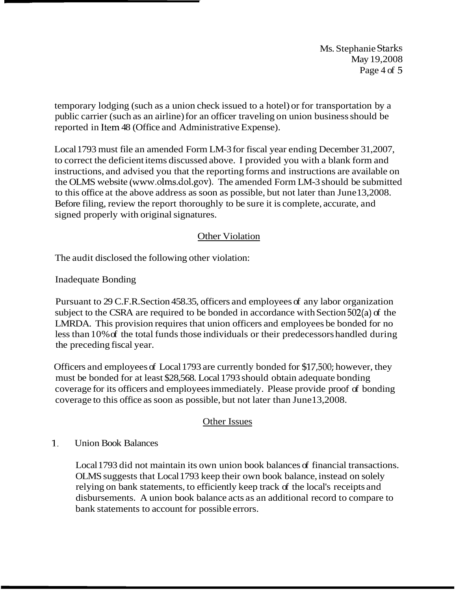Ms. Stephanie Starks May 19,2008 Page 4 of 5

temporary lodging (such as a union check issued to a hotel) or for transportation by a public carrier (such as an airline) for an officer traveling on union business should be reported in Item 48 (Office and Administrative Expense).

Local 1793 must file an amended Form LM-3 for fiscal year ending December 31,2007, to correct the deficient items discussed above. I provided you with a blank form and instructions, and advised you that the reporting forms and instructions are available on the OLMS website (www.olms.dol.gov). The amended Form LM-3 should be submitted to this office at the above address as soon as possible, but not later than June 13,2008. Before filing, review the report thoroughly to be sure it is complete, accurate, and signed properly with original signatures.

# Other Violation

The audit disclosed the following other violation:

Inadequate Bonding

Pursuant to 29 C.F.R. Section 458.35, officers and employees of any labor organization subject to the CSRA are required to be bonded in accordance with Section 502(a) of the LMRDA. This provision requires that union officers and employees be bonded for no less than 10% of the total funds those individuals or their predecessors handled during the preceding fiscal year.

Officers and employees of Local 1793 are currently bonded for \$17,500; however, they must be bonded for at least \$28,568. Local 1793 should obtain adequate bonding coverage for its officers and employees immediately. Please provide proof of bonding coverage to this office as soon as possible, but not later than June 13,2008.

## Other Issues

## 1. Union Book Balances

Local 1793 did not maintain its own union book balances of financial transactions. OLMS suggests that Local 1793 keep their own book balance, instead on solely relying on bank statements, to efficiently keep track of the local's receipts and disbursements. A union book balance acts as an additional record to compare to bank statements to account for possible errors.